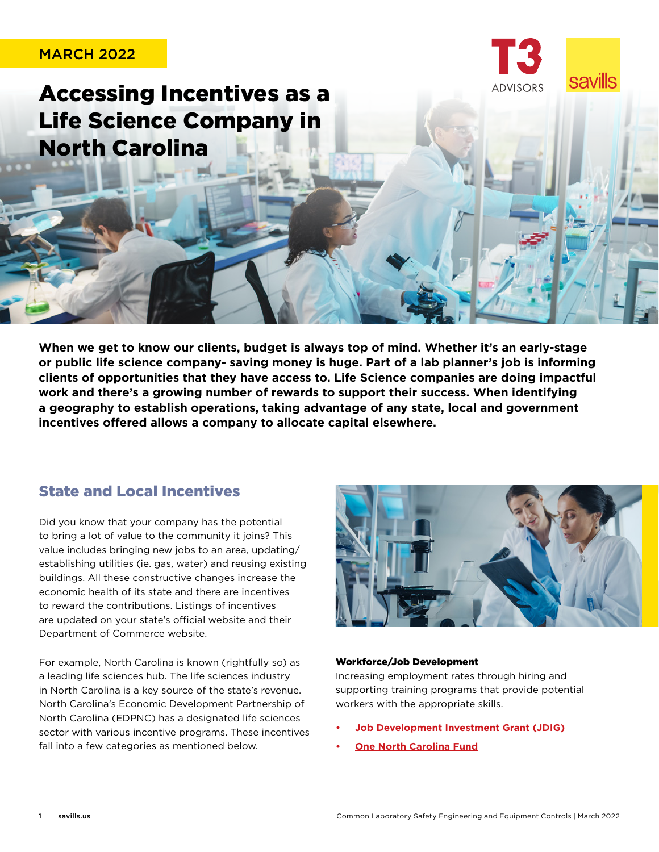## MARCH 2022

Accessing Incentives as a Life Science Company in North Carolina

**When we get to know our clients, budget is always top of mind. Whether it's an early-stage or public life science company- saving money is huge. Part of a lab planner's job is informing clients of opportunities that they have access to. Life Science companies are doing impactful work and there's a growing number of rewards to support their success. When identifying a geography to establish operations, taking advantage of any state, local and government incentives offered allows a company to allocate capital elsewhere.** 

# State and Local Incentives

Did you know that your company has the potential to bring a lot of value to the community it joins? This value includes bringing new jobs to an area, updating/ establishing utilities (ie. gas, water) and reusing existing buildings. All these constructive changes increase the economic health of its state and there are incentives to reward the contributions. Listings of incentives are updated on your state's official website and their Department of Commerce website.

For example, North Carolina is known (rightfully so) as a leading life sciences hub. The life sciences industry in North Carolina is a key source of the state's revenue. North Carolina's Economic Development Partnership of North Carolina (EDPNC) has a designated life sciences sector with various incentive programs. These incentives fall into a few categories as mentioned below.



**savills** 

### Workforce/Job Development

Increasing employment rates through hiring and supporting training programs that provide potential workers with the appropriate skills.

- **• [Job Development Investment Grant \(JDIG\)](https://www.nccommerce.com/grants-incentives/competitive-incentives/job-development-investment-grant)**
- **• [One North Carolina Fund](https://www.nccommerce.com/grants-incentives/competitive-incentives/one-north-carolina-fund)**